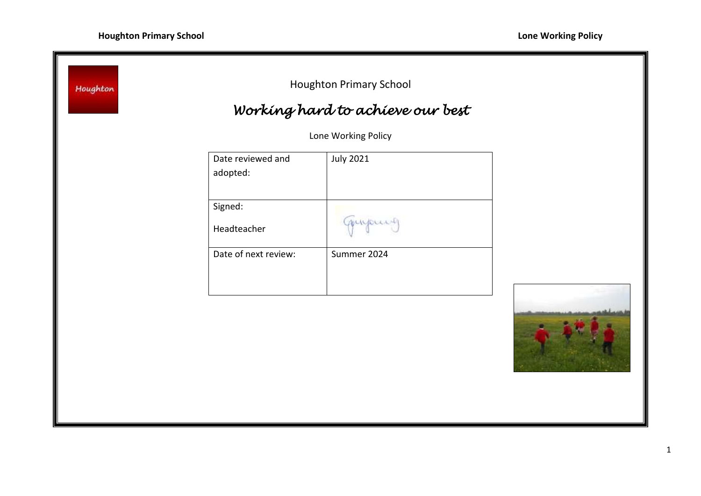| Date reviewed and<br>adopted: | <b>July 2021</b> |                                                         |
|-------------------------------|------------------|---------------------------------------------------------|
| Signed:<br>Headteacher        | myour            |                                                         |
| Date of next review:          | Summer 2024      |                                                         |
|                               |                  |                                                         |
|                               |                  |                                                         |
|                               |                  |                                                         |
|                               |                  | Working hard to achieve our best<br>Lone Working Policy |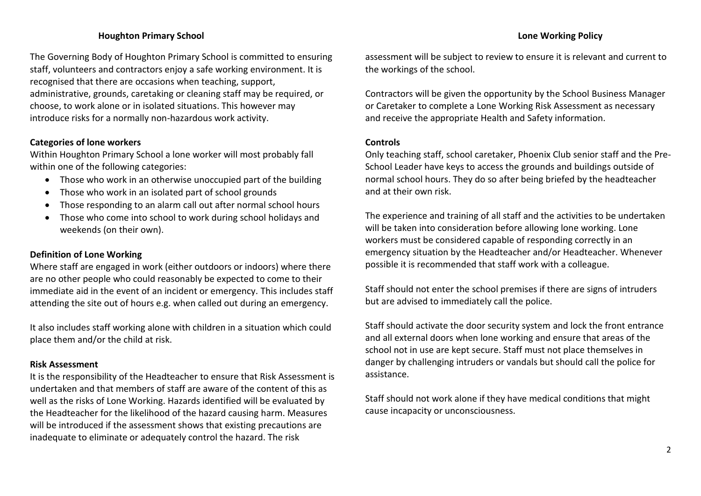## **Houghton Primary School Lone Working Policy**

The Governing Body of Houghton Primary School is committed to ensuring staff, volunteers and contractors enjoy a safe working environment. It is recognised that there are occasions when teaching, support, administrative, grounds, caretaking or cleaning staff may be required, or choose, to work alone or in isolated situations. This however may introduce risks for a normally non-hazardous work activity.

### **Categories of lone workers**

Within Houghton Primary School a lone worker will most probably fall within one of the following categories:

- Those who work in an otherwise unoccupied part of the building
- Those who work in an isolated part of school grounds
- Those responding to an alarm call out after normal school hours
- Those who come into school to work during school holidays and weekends (on their own).

# **Definition of Lone Working**

Where staff are engaged in work (either outdoors or indoors) where there are no other people who could reasonably be expected to come to their immediate aid in the event of an incident or emergency. This includes staff attending the site out of hours e.g. when called out during an emergency.

It also includes staff working alone with children in a situation which could place them and/or the child at risk.

### **Risk Assessment**

It is the responsibility of the Headteacher to ensure that Risk Assessment is undertaken and that members of staff are aware of the content of this as well as the risks of Lone Working. Hazards identified will be evaluated by the Headteacher for the likelihood of the hazard causing harm. Measures will be introduced if the assessment shows that existing precautions are inadequate to eliminate or adequately control the hazard. The risk

assessment will be subject to review to ensure it is relevant and current to the workings of the school.

Contractors will be given the opportunity by the School Business Manager or Caretaker to complete a Lone Working Risk Assessment as necessary and receive the appropriate Health and Safety information.

### **Controls**

Only teaching staff, school caretaker, Phoenix Club senior staff and the Pre-School Leader have keys to access the grounds and buildings outside of normal school hours. They do so after being briefed by the headteacher and at their own risk.

The experience and training of all staff and the activities to be undertaken will be taken into consideration before allowing lone working. Lone workers must be considered capable of responding correctly in an emergency situation by the Headteacher and/or Headteacher. Whenever possible it is recommended that staff work with a colleague.

Staff should not enter the school premises if there are signs of intruders but are advised to immediately call the police.

Staff should activate the door security system and lock the front entrance and all external doors when lone working and ensure that areas of the school not in use are kept secure. Staff must not place themselves in danger by challenging intruders or vandals but should call the police for assistance.

Staff should not work alone if they have medical conditions that might cause incapacity or unconsciousness.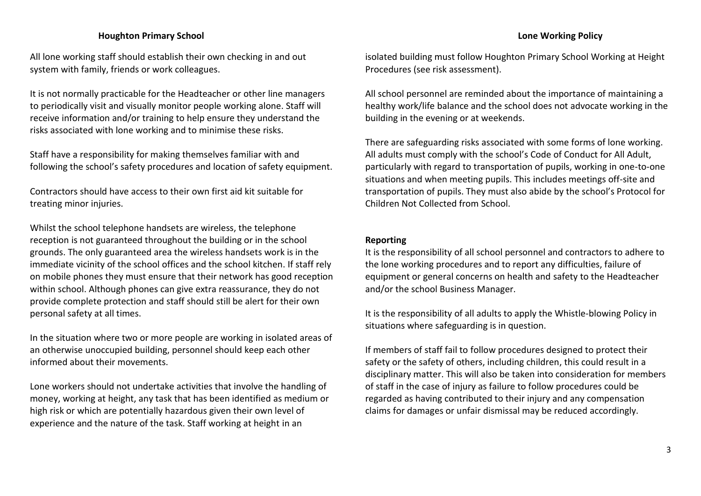### **Houghton Primary School Lone Working Policy**

All lone working staff should establish their own checking in and out system with family, friends or work colleagues.

It is not normally practicable for the Headteacher or other line managers to periodically visit and visually monitor people working alone. Staff will receive information and/or training to help ensure they understand the risks associated with lone working and to minimise these risks.

Staff have a responsibility for making themselves familiar with and following the school's safety procedures and location of safety equipment.

Contractors should have access to their own first aid kit suitable for treating minor injuries.

Whilst the school telephone handsets are wireless, the telephone reception is not guaranteed throughout the building or in the school grounds. The only guaranteed area the wireless handsets work is in the immediate vicinity of the school offices and the school kitchen. If staff rely on mobile phones they must ensure that their network has good reception within school. Although phones can give extra reassurance, they do not provide complete protection and staff should still be alert for their own personal safety at all times.

In the situation where two or more people are working in isolated areas of an otherwise unoccupied building, personnel should keep each other informed about their movements.

Lone workers should not undertake activities that involve the handling of money, working at height, any task that has been identified as medium or high risk or which are potentially hazardous given their own level of experience and the nature of the task. Staff working at height in an

isolated building must follow Houghton Primary School Working at Height Procedures (see risk assessment).

All school personnel are reminded about the importance of maintaining a healthy work/life balance and the school does not advocate working in the building in the evening or at weekends.

There are safeguarding risks associated with some forms of lone working. All adults must comply with the school's Code of Conduct for All Adult, particularly with regard to transportation of pupils, working in one-to-one situations and when meeting pupils. This includes meetings off-site and transportation of pupils. They must also abide by the school's Protocol for Children Not Collected from School.

### **Reporting**

It is the responsibility of all school personnel and contractors to adhere to the lone working procedures and to report any difficulties, failure of equipment or general concerns on health and safety to the Headteacher and/or the school Business Manager.

It is the responsibility of all adults to apply the Whistle-blowing Policy in situations where safeguarding is in question.

If members of staff fail to follow procedures designed to protect their safety or the safety of others, including children, this could result in a disciplinary matter. This will also be taken into consideration for members of staff in the case of injury as failure to follow procedures could be regarded as having contributed to their injury and any compensation claims for damages or unfair dismissal may be reduced accordingly.